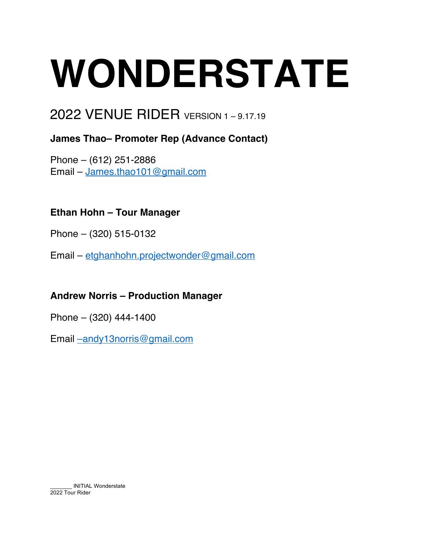# **WONDERSTATE**

## 2022 VENUE RIDER VERSION 1 – 9.17.19

### **James Thao– Promoter Rep (Advance Contact)**

Phone – (612) 251-2886 Email – James.thao101@gmail.com

#### **Ethan Hohn – Tour Manager**

Phone – (320) 515-0132

Email – etghanhohn.projectwonder@gmail.com

#### **Andrew Norris – Production Manager**

Phone – (320) 444-1400

Email –andy13norris@gmail.com